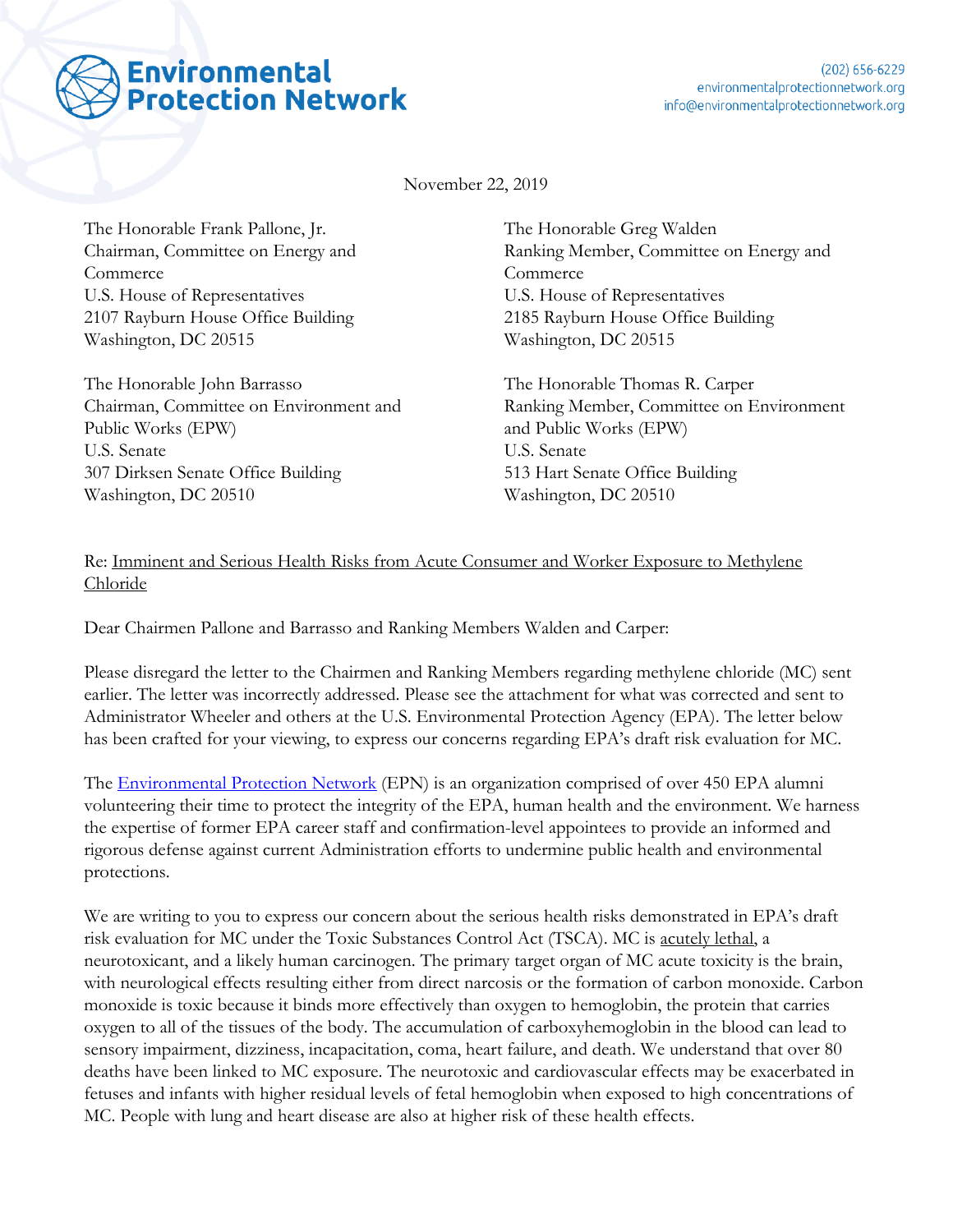

November 22, 2019

The Honorable Frank Pallone, Jr. Chairman, Committee on Energy and Commerce U.S. House of Representatives 2107 Rayburn House Office Building Washington, DC 20515

The Honorable John Barrasso Chairman, Committee on Environment and Public Works (EPW) U.S. Senate 307 Dirksen Senate Office Building Washington, DC 20510

The Honorable Greg Walden Ranking Member, Committee on Energy and **Commerce** U.S. House of Representatives 2185 Rayburn House Office Building Washington, DC 20515

The Honorable Thomas R. Carper Ranking Member, Committee on Environment and Public Works (EPW) U.S. Senate 513 Hart Senate Office Building Washington, DC 20510

## Re: Imminent and Serious Health Risks from Acute Consumer and Worker Exposure to Methylene Chloride

Dear Chairmen Pallone and Barrasso and Ranking Members Walden and Carper:

Please disregard the letter to the Chairmen and Ranking Members regarding methylene chloride (MC) sent earlier. The letter was incorrectly addressed. Please see the attachment for what was corrected and sent to Administrator Wheeler and others at the U.S. Environmental Protection Agency (EPA). The letter below has been crafted for your viewing, to express our concerns regarding EPA's draft risk evaluation for MC.

The [Environmental Protection Network](https://www.environmentalprotectionnetwork.org/) (EPN) is an organization comprised of over 450 EPA alumni volunteering their time to protect the integrity of the EPA, human health and the environment. We harness the expertise of former EPA career staff and confirmation-level appointees to provide an informed and rigorous defense against current Administration efforts to undermine public health and environmental protections.

We are writing to you to express our concern about the serious health risks demonstrated in EPA's draft risk evaluation for MC under the Toxic Substances Control Act (TSCA). MC is acutely lethal, a neurotoxicant, and a likely human carcinogen. The primary target organ of MC acute toxicity is the brain, with neurological effects resulting either from direct narcosis or the formation of carbon monoxide. Carbon monoxide is toxic because it binds more effectively than oxygen to hemoglobin, the protein that carries oxygen to all of the tissues of the body. The accumulation of carboxyhemoglobin in the blood can lead to sensory impairment, dizziness, incapacitation, coma, heart failure, and death. We understand that over 80 deaths have been linked to MC exposure. The neurotoxic and cardiovascular effects may be exacerbated in fetuses and infants with higher residual levels of fetal hemoglobin when exposed to high concentrations of MC. People with lung and heart disease are also at higher risk of these health effects.